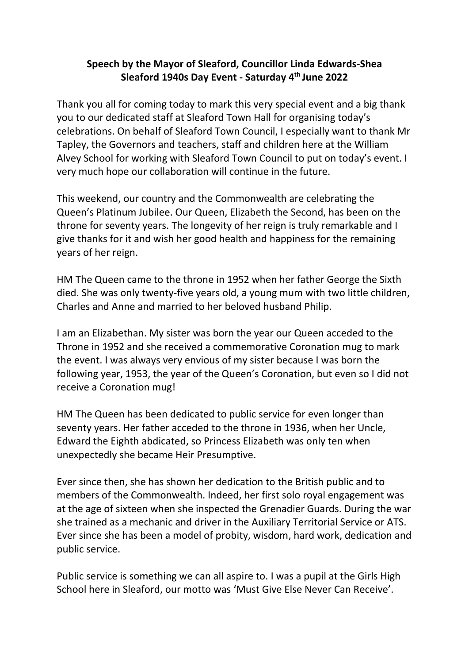## **Speech by the Mayor of Sleaford, Councillor Linda Edwards-Shea Sleaford 1940s Day Event - Saturday 4th June 2022**

Thank you all for coming today to mark this very special event and a big thank you to our dedicated staff at Sleaford Town Hall for organising today's celebrations. On behalf of Sleaford Town Council, I especially want to thank Mr Tapley, the Governors and teachers, staff and children here at the William Alvey School for working with Sleaford Town Council to put on today's event. I very much hope our collaboration will continue in the future.

This weekend, our country and the Commonwealth are celebrating the Queen's Platinum Jubilee. Our Queen, Elizabeth the Second, has been on the throne for seventy years. The longevity of her reign is truly remarkable and I give thanks for it and wish her good health and happiness for the remaining years of her reign.

HM The Queen came to the throne in 1952 when her father George the Sixth died. She was only twenty-five years old, a young mum with two little children, Charles and Anne and married to her beloved husband Philip.

I am an Elizabethan. My sister was born the year our Queen acceded to the Throne in 1952 and she received a commemorative Coronation mug to mark the event. I was always very envious of my sister because I was born the following year, 1953, the year of the Queen's Coronation, but even so I did not receive a Coronation mug!

HM The Queen has been dedicated to public service for even longer than seventy years. Her father acceded to the throne in 1936, when her Uncle, Edward the Eighth abdicated, so Princess Elizabeth was only ten when unexpectedly she became Heir Presumptive.

Ever since then, she has shown her dedication to the British public and to members of the Commonwealth. Indeed, her first solo royal engagement was at the age of sixteen when she inspected the Grenadier Guards. During the war she trained as a mechanic and driver in the Auxiliary Territorial Service or ATS. Ever since she has been a model of probity, wisdom, hard work, dedication and public service.

Public service is something we can all aspire to. I was a pupil at the Girls High School here in Sleaford, our motto was 'Must Give Else Never Can Receive'.